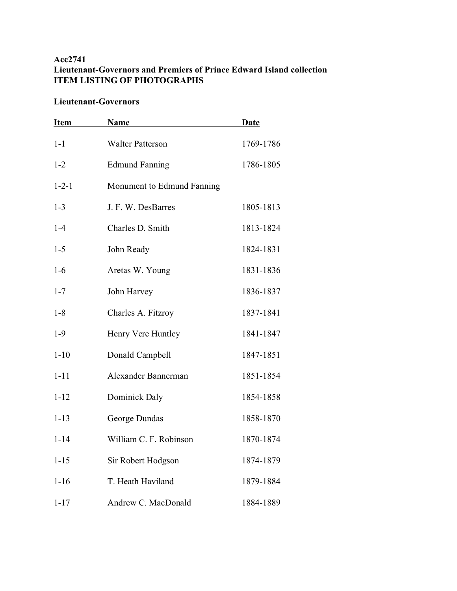### **Acc2741 Lieutenant-Governors and Premiers of Prince Edward Island collection ITEM LISTING OF PHOTOGRAPHS**

#### **Lieutenant-Governors**

| <b>Item</b> | Name                       | <b>Date</b> |  |
|-------------|----------------------------|-------------|--|
| $1 - 1$     | <b>Walter Patterson</b>    | 1769-1786   |  |
| $1 - 2$     | <b>Edmund Fanning</b>      | 1786-1805   |  |
| $1 - 2 - 1$ | Monument to Edmund Fanning |             |  |
| $1 - 3$     | J. F. W. DesBarres         | 1805-1813   |  |
| $1-4$       | Charles D. Smith           | 1813-1824   |  |
| $1 - 5$     | John Ready                 | 1824-1831   |  |
| $1-6$       | Aretas W. Young            | 1831-1836   |  |
| $1 - 7$     | John Harvey                | 1836-1837   |  |
| $1 - 8$     | Charles A. Fitzroy         | 1837-1841   |  |
| $1-9$       | Henry Vere Huntley         | 1841-1847   |  |
| $1 - 10$    | Donald Campbell            | 1847-1851   |  |
| $1 - 11$    | Alexander Bannerman        | 1851-1854   |  |
| $1 - 12$    | Dominick Daly              | 1854-1858   |  |
| $1 - 13$    | George Dundas              | 1858-1870   |  |
| $1 - 14$    | William C. F. Robinson     | 1870-1874   |  |
| $1 - 15$    | Sir Robert Hodgson         | 1874-1879   |  |
| $1 - 16$    | T. Heath Haviland          | 1879-1884   |  |
| $1 - 17$    | Andrew C. MacDonald        | 1884-1889   |  |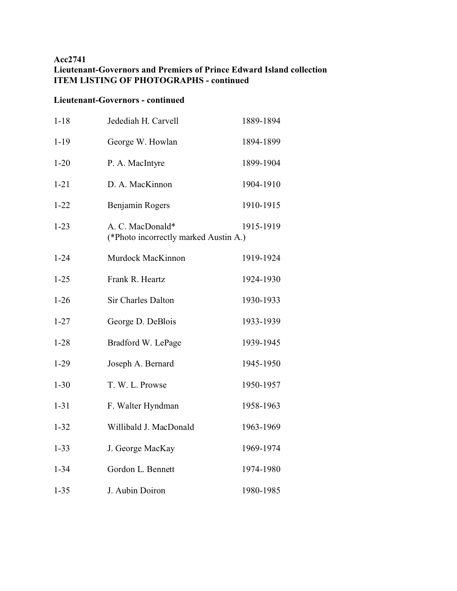### **Acc2741 Lieutenant-Governors and Premiers of Prince Edward Island collection ITEM LISTING OF PHOTOGRAPHS - continued**

#### **Lieutenant-Governors - continued**

| $1 - 18$ | Jedediah H. Carvell                                       | 1889-1894 |
|----------|-----------------------------------------------------------|-----------|
| $1 - 19$ | George W. Howlan                                          | 1894-1899 |
| $1 - 20$ | P. A. MacIntyre                                           | 1899-1904 |
| $1 - 21$ | D. A. MacKinnon                                           | 1904-1910 |
| $1 - 22$ | Benjamin Rogers                                           | 1910-1915 |
| $1 - 23$ | A. C. MacDonald*<br>(*Photo incorrectly marked Austin A.) | 1915-1919 |
| $1 - 24$ | Murdock MacKinnon                                         | 1919-1924 |
| $1 - 25$ | Frank R. Heartz                                           | 1924-1930 |
| $1 - 26$ | <b>Sir Charles Dalton</b>                                 | 1930-1933 |
| $1 - 27$ | George D. DeBlois                                         | 1933-1939 |
| $1 - 28$ | Bradford W. LePage                                        | 1939-1945 |
| $1-29$   | Joseph A. Bernard                                         | 1945-1950 |
| $1 - 30$ | T. W. L. Prowse                                           | 1950-1957 |
| $1 - 31$ | F. Walter Hyndman                                         | 1958-1963 |
| $1 - 32$ | Willibald J. MacDonald                                    | 1963-1969 |
| $1 - 33$ | J. George MacKay                                          | 1969-1974 |
| $1 - 34$ | Gordon L. Bennett                                         | 1974-1980 |
| $1 - 35$ | J. Aubin Doiron                                           | 1980-1985 |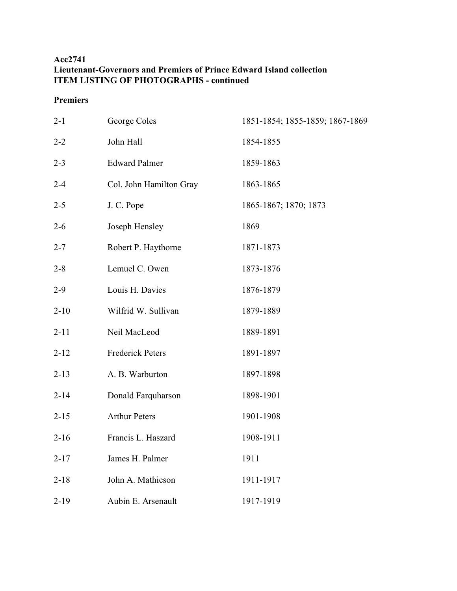## **Acc2741 Lieutenant-Governors and Premiers of Prince Edward Island collection ITEM LISTING OF PHOTOGRAPHS - continued**

#### **Premiers**

| $2 - 1$  | George Coles            | 1851-1854; 1855-1859; 1867-1869 |
|----------|-------------------------|---------------------------------|
| $2 - 2$  | John Hall               | 1854-1855                       |
| $2 - 3$  | <b>Edward Palmer</b>    | 1859-1863                       |
| $2 - 4$  | Col. John Hamilton Gray | 1863-1865                       |
| $2 - 5$  | J. C. Pope              | 1865-1867; 1870; 1873           |
| $2 - 6$  | Joseph Hensley          | 1869                            |
| $2 - 7$  | Robert P. Haythorne     | 1871-1873                       |
| $2 - 8$  | Lemuel C. Owen          | 1873-1876                       |
| $2 - 9$  | Louis H. Davies         | 1876-1879                       |
| $2 - 10$ | Wilfrid W. Sullivan     | 1879-1889                       |
| $2 - 11$ | Neil MacLeod            | 1889-1891                       |
| $2 - 12$ | <b>Frederick Peters</b> | 1891-1897                       |
| $2 - 13$ | A. B. Warburton         | 1897-1898                       |
| $2 - 14$ | Donald Farquharson      | 1898-1901                       |
| $2 - 15$ | <b>Arthur Peters</b>    | 1901-1908                       |
| $2 - 16$ | Francis L. Haszard      | 1908-1911                       |
| $2 - 17$ | James H. Palmer         | 1911                            |
| $2 - 18$ | John A. Mathieson       | 1911-1917                       |
| $2 - 19$ | Aubin E. Arsenault      | 1917-1919                       |